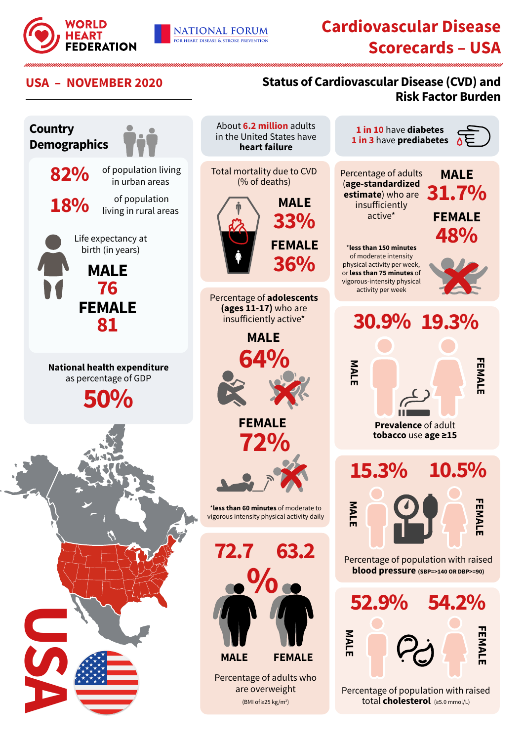

**FEMALE**

**EMALE** 

**FEMALE**

FEMAL

**FEMALE**

**FEMALI** 

**10.5%**

**MALE**

**31.7%** 

**FEMALE**

**48%**

## **USA – NOVEMBER 2020 Status of Cardiovascular Disease (CVD) and Risk Factor Burden**



**NATIONAL FORUM** 

FOR HEART DISEASE & STROKE PREVENTION